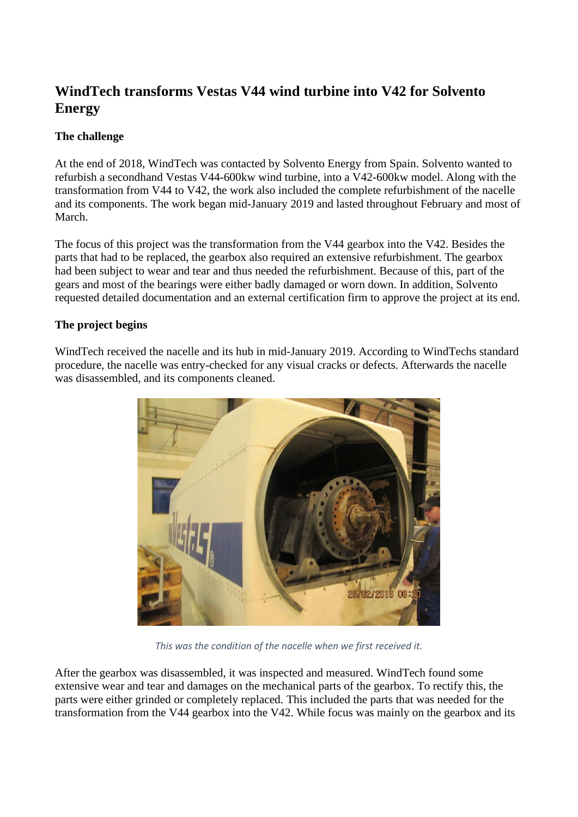## **WindTech transforms Vestas V44 wind turbine into V42 for Solvento Energy**

## **The challenge**

At the end of 2018, WindTech was contacted by Solvento Energy from Spain. Solvento wanted to refurbish a secondhand Vestas V44-600kw wind turbine, into a V42-600kw model. Along with the transformation from V44 to V42, the work also included the complete refurbishment of the nacelle and its components. The work began mid-January 2019 and lasted throughout February and most of March.

The focus of this project was the transformation from the V44 gearbox into the V42. Besides the parts that had to be replaced, the gearbox also required an extensive refurbishment. The gearbox had been subject to wear and tear and thus needed the refurbishment. Because of this, part of the gears and most of the bearings were either badly damaged or worn down. In addition, Solvento requested detailed documentation and an external certification firm to approve the project at its end.

## **The project begins**

WindTech received the nacelle and its hub in mid-January 2019. According to WindTechs standard procedure, the nacelle was entry-checked for any visual cracks or defects. Afterwards the nacelle was disassembled, and its components cleaned.



*This was the condition of the nacelle when we first received it.*

After the gearbox was disassembled, it was inspected and measured. WindTech found some extensive wear and tear and damages on the mechanical parts of the gearbox. To rectify this, the parts were either grinded or completely replaced. This included the parts that was needed for the transformation from the V44 gearbox into the V42. While focus was mainly on the gearbox and its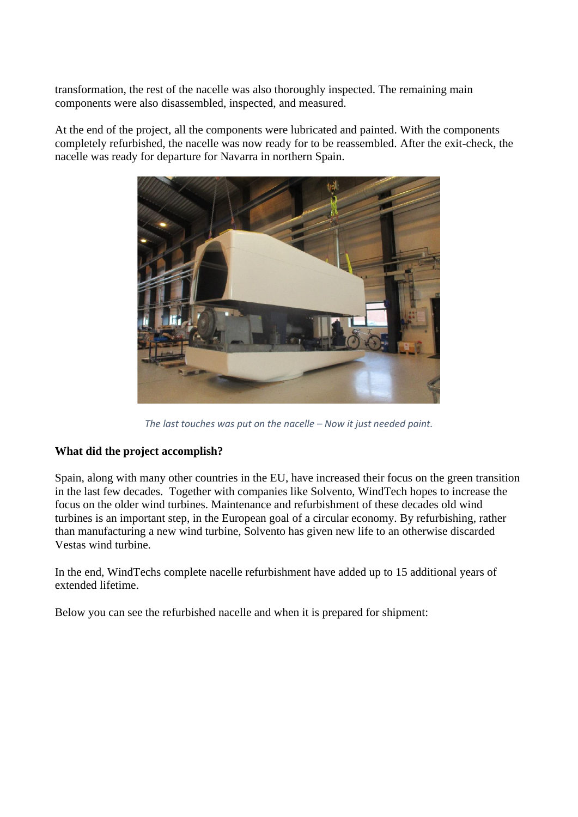transformation, the rest of the nacelle was also thoroughly inspected. The remaining main components were also disassembled, inspected, and measured.

At the end of the project, all the components were lubricated and painted. With the components completely refurbished, the nacelle was now ready for to be reassembled. After the exit-check, the nacelle was ready for departure for Navarra in northern Spain.



*The last touches was put on the nacelle – Now it just needed paint.*

## **What did the project accomplish?**

Spain, along with many other countries in the EU, have increased their focus on the green transition in the last few decades. Together with companies like Solvento, WindTech hopes to increase the focus on the older wind turbines. Maintenance and refurbishment of these decades old wind turbines is an important step, in the European goal of a circular economy. By refurbishing, rather than manufacturing a new wind turbine, Solvento has given new life to an otherwise discarded Vestas wind turbine.

In the end, WindTechs complete nacelle refurbishment have added up to 15 additional years of extended lifetime.

Below you can see the refurbished nacelle and when it is prepared for shipment: